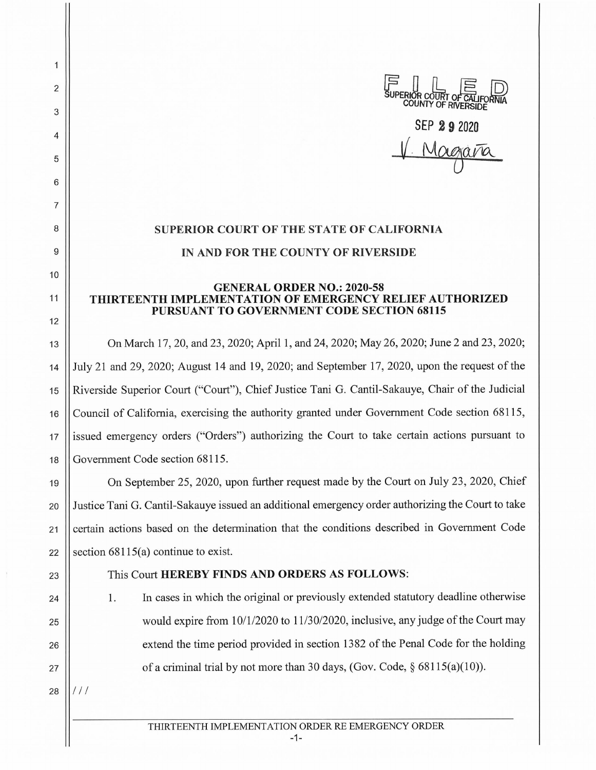

## **SUPERIOR COURT OF THE STATE OF CALIFORNIA IN AND FOR THE COUNTY OF RIVERSIDE**

## **GENERAL ORDER NO.: 2020-58 THIRTEENTH IMPLEMENTATION OF EMERGENCY RELIEF AUTHORIZED PURSUANT TO GOVERNMENT CODE SECTION 68115**

13 On March 17, 20, and 23, 2020; April 1, and 24, 2020; May 26, 2020; June 2 and 23, 2020; 14 July 21 and 29, 2020; August 14 and 19, 2020; and September 17, 2020, upon the request of the 15 Riverside Superior Court ("Court"), Chief Justice Tani G. Cantil-Sakauye, Chair of the Judicial 16 Council of California, exercising the authority granted under Government Code section 68115, 17 issued emergency orders ("Orders") authorizing the Court to take certain actions pursuant to 18 Government Code section 68115.

19 On September 25, 2020, upon further request made by the Court on July 23, 2020, Chief 20 Justice Tani G. Cantil-Sakauye issued an additional emergency order authorizing the Court to take 21 | certain actions based on the determination that the conditions described in Government Code 22 Section  $68115(a)$  continue to exist.

## 23 This Court **HEREBY FINDS AND ORDERS AS FOLLOWS:**

1. In cases in which the original or previously extended statutory deadline otherwise || would expire from  $10/1/2020$  to  $11/30/2020$ , inclusive, any judge of the Court may 26 || extend the time period provided in section 1382 of the Penal Code for the holding  $\parallel$  of a criminal trial by not more than 30 days, (Gov. Code, § 68115(a)(10)).

 $28$   $\frac{1}{1}$ 

2

1

3

4

5

6

7

8

9

10

11

12